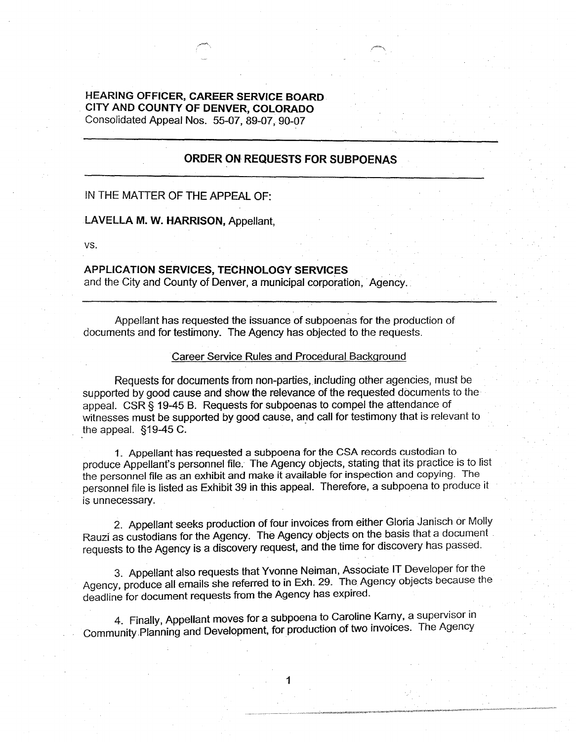## **HEARING OFFICER, CAREER SERVICE BOARD CITY AND COUNTY OF DENVER, COLORADO**  Consolidated Appeal Nos. 55-07, 89-07, 90-07

## **ORDER ON REQUESTS FOR SUBPOENAS**

# IN THE MATTER OF THE APPEAL OF:

#### **LA VELLA M. W. HARRISON,** Appellant,

VS.

## **APPLICATION SERVICES, TECHNOLOGY SERVICES**

and the City and County of Denver, a municipal corporation, Agency.

Appellant has requested the issuance of subpoenas for the production of documents and for testimony. The Agency has objected to the requests.

#### Career Service Rules and Procedural Background

Requests for documents from non-parties, including other agencies, must be supported by good cause and show the relevance of the requested documents to the appeal. CSR § 19-45 B. Requests for subpoenas to compel the attendance of witnesses must be supported by good cause, and call for testimony that is relevant to the appeal.  $§19-45$  C.

1. Appellant has requested a subpoena for the CSA records custodian to produce Appellant's personnel file. The Agency objects, stating that its practice is to list the personnel file as an exhibit and make it available for inspection and copying. The personnel file is listed as Exhibit 39 in this appeal. Therefore, a subpoena to produce it is unnecessary.

2. Appellant seeks production of four invoices from either Gloria Janisch or Molly Rauzi as custodians for the Agency. The Agency objects on the basis that a document . requests to the Agency is a discovery request, and the time for discovery has passed.

3. Appellant also requests that Yvonne Neiman, Associate IT Developer for the Agency, produce all emails she referred to in Exh. 29. The Agency objects because the deadline for document requests from the Agency has expired.

4. Finally, Appellant moves for a subpoena to Caroline Karny, a supervisor in Community Planning and Development, for production of two invoices. The Agency

1